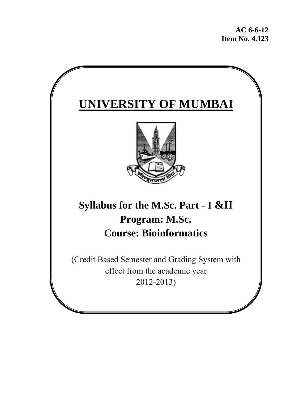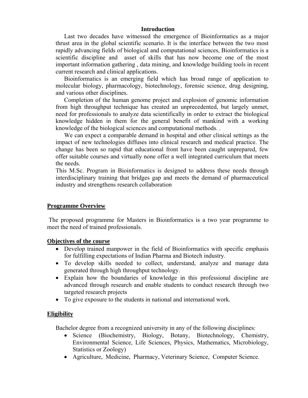#### **Introduction**

Last two decades have witnessed the emergence of Bioinformatics as a major thrust area in the global scientific scenario. It is the interface between the two most rapidly advancing fields of biological and computational sciences, Bioinformatics is a scientific discipline and asset of skills that has now become one of the most important information gathering , data mining, and knowledge building tools in recent current research and clinical applications.

Bioinformatics is an emerging field which has broad range of application to molecular biology, pharmacology, biotechnology, forensic science, drug designing, and various other disciplines.

Completion of the human genome project and explosion of genomic information from high throughput technique has created an unprecedented, but largely unmet, need for professionals to analyze data scientifically in order to extract the biological knowledge hidden in them for the general benefit of mankind with a working knowledge of the biological sciences and computational methods. .

We can expect a comparable demand in hospital and other clinical settings as the impact of new technologies diffuses into clinical research and medical practice. The change has been so rapid that educational front have been caught unprepared, few offer suitable courses and virtually none offer a well integrated curriculum that meets the needs.

This M.Sc. Program in Bioinformatics is designed to address these needs through interdisciplinary training that bridges gap and meets the demand of pharmaceutical industry and strengthens research collaboration

#### **Programme Overview**

 The proposed programme for Masters in Bioinformatics is a two year programme to meet the need of trained professionals.

#### **Objectives of the course**

- Develop trained manpower in the field of Bioinformatics with specific emphasis for fulfilling expectations of Indian Pharma and Biotech industry.
- To develop skills needed to collect, understand, analyze and manage data generated through high throughput technology.
- Explain how the boundaries of knowledge in this professional discipline are advanced through research and enable students to conduct research through two targeted research projects
- To give exposure to the students in national and international work.

## **Eligibility**

Bachelor degree from a recognized university in any of the following disciplines:

- Science (Biochemistry, Biology, Botany, Biotechnology, Chemistry, Environmental Science, Life Sciences, Physics, Mathematics, Microbiology, Statistics or Zoology)
- Agriculture, Medicine, Pharmacy, Veterinary Science, Computer Science.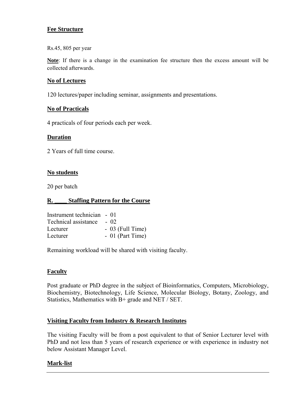# **Fee Structure**

Rs.45, 805 per year

**Note**: If there is a change in the examination fee structure then the excess amount will be collected afterwards.

# **No of Lectures**

120 lectures/paper including seminar, assignments and presentations.

## **No of Practicals**

4 practicals of four periods each per week.

# **Duration**

2 Years of full time course.

# **No students**

20 per batch

# **R. \_\_\_\_ Staffing Pattern for the Course**

| Instrument technician - 01 |                   |
|----------------------------|-------------------|
| Technical assistance       | $-02$             |
| Lecturer                   | $-03$ (Full Time) |
| Lecturer                   | $-01$ (Part Time) |

Remaining workload will be shared with visiting faculty.

# **Faculty**

Post graduate or PhD degree in the subject of Bioinformatics, Computers, Microbiology, Biochemistry, Biotechnology, Life Science, Molecular Biology, Botany, Zoology, and Statistics, Mathematics with B+ grade and NET / SET.

# **Visiting Faculty from Industry & Research Institutes**

The visiting Faculty will be from a post equivalent to that of Senior Lecturer level with PhD and not less than 5 years of research experience or with experience in industry not below Assistant Manager Level.

# **Mark-list**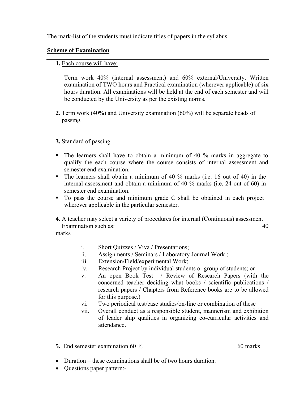The mark-list of the students must indicate titles of papers in the syllabus.

# **Scheme of Examination**

## **1.** Each course will have:

Term work 40% (internal assessment) and 60% external/University. Written examination of TWO hours and Practical examination (wherever applicable) of six hours duration. All examinations will be held at the end of each semester and will be conducted by the University as per the existing norms.

**2.** Term work (40%) and University examination (60%) will be separate heads of passing.

# **3.** Standard of passing

- $\blacksquare$  The learners shall have to obtain a minimum of 40 % marks in aggregate to qualify the each course where the course consists of internal assessment and semester end examination.
- The learners shall obtain a minimum of 40 % marks (i.e. 16 out of 40) in the internal assessment and obtain a minimum of 40 % marks (i.e. 24 out of 60) in semester end examination.
- To pass the course and minimum grade C shall be obtained in each project wherever applicable in the particular semester.
- **4.** A teacher may select a variety of procedures for internal (Continuous) assessment Examination such as: 40

marks

- i. Short Quizzes / Viva / Presentations;
- ii. Assignments / Seminars / Laboratory Journal Work ;
- iii. Extension/Field/experimental Work;
- iv. Research Project by individual students or group of students; or
- v. An open Book Test / Review of Research Papers (with the concerned teacher deciding what books / scientific publications / research papers / Chapters from Reference books are to be allowed for this purpose.)
- vi. Two periodical test/case studies/on-line or combination of these
- vii. Overall conduct as a responsible student, mannerism and exhibition of leader ship qualities in organizing co-curricular activities and attendance.
- **5.** End semester examination 60 % 60 marks

- Duration these examinations shall be of two hours duration.
- Questions paper pattern:-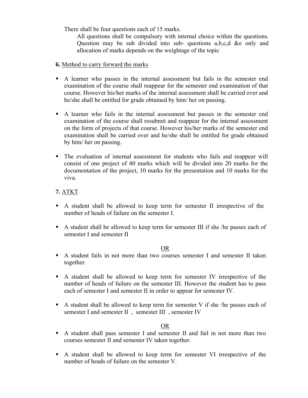There shall be four questions each of 15 marks.

All questions shall be compulsory with internal choice within the questions. Question may be sub divided into sub- questions a,b,c,d &e only and allocation of marks depends on the weightage of the topic

- **6.** Method to carry forward the marks
- A learner who passes in the internal assessment but fails in the semester end examination of the course shall reappear for the semester end examination of that course. However his/her marks of the internal assessment shall be carried over and he/she shall be entitled for grade obtained by him/ her on passing.
- A learner who fails in the internal assessment but passes in the semester end examination of the course shall resubmit and reappear for the internal assessment on the form of projects of that course. However his/her marks of the semester end examination shall be carried over and he/she shall be entitled for grade obtained by him/ her on passing.
- The evaluation of internal assessment for students who fails and reappear will consist of one project of 40 marks which will be divided into 20 marks for the documentation of the project, 10 marks for the presentation and 10 marks for the viva.

# **7.** ATKT

- A student shall be allowed to keep term for semester II irrespective of the number of heads of failure on the semester I.
- A student shall be allowed to keep term for semester III if she /he passes each of semester I and semester II

## OR

- A student fails in not more than two courses semester I and semester II taken together.
- A student shall be allowed to keep term for semester IV irrespective of the number of heads of failure on the semester III. However the student has to pass each of semester I and semester II in order to appear for semester IV.
- A student shall be allowed to keep term for semester V if she /he passes each of semester I and semester II , semester III , semester IV

# OR

- A student shall pass semester I and semester II and fail in not more than two courses semester II and semester IV taken together.
- A student shall be allowed to keep term for semester VI irrespective of the number of heads of failure on the semester V.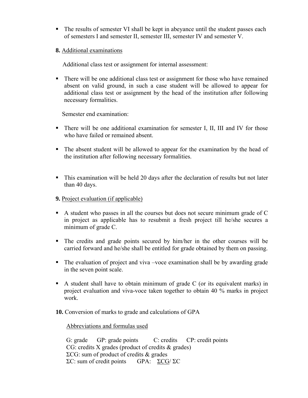- The results of semester VI shall be kept in abeyance until the student passes each of semesters I and semester II, semester III, semester IV and semester V.
- **8.** Additional examinations

Additional class test or assignment for internal assessment:

 There will be one additional class test or assignment for those who have remained absent on valid ground, in such a case student will be allowed to appear for additional class test or assignment by the head of the institution after following necessary formalities.

Semester end examination:

- There will be one additional examination for semester I, II, III and IV for those who have failed or remained absent.
- The absent student will be allowed to appear for the examination by the head of the institution after following necessary formalities.
- This examination will be held 20 days after the declaration of results but not later than 40 days.

# **9.** Project evaluation (if applicable)

- A student who passes in all the courses but does not secure minimum grade of C in project as applicable has to resubmit a fresh project till he/she secures a minimum of grade C.
- The credits and grade points secured by him/her in the other courses will be carried forward and he/she shall be entitled for grade obtained by them on passing.
- The evaluation of project and viva –voce examination shall be by awarding grade in the seven point scale.
- A student shall have to obtain minimum of grade  $C$  (or its equivalent marks) in project evaluation and viva-voce taken together to obtain 40 % marks in project work.

## **10.** Conversion of marks to grade and calculations of GPA

## Abbreviations and formulas used

G: grade GP: grade points C: credits CP: credit points CG: credits X grades (product of credits & grades) ΣCG: sum of product of credits & grades ΣC: sum of credit points GPA: ΣCG/ ΣC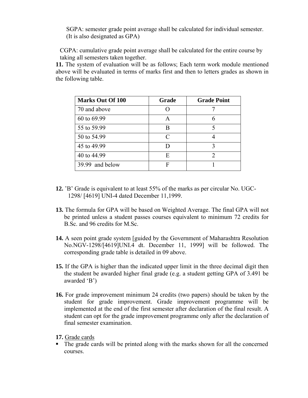SGPA: semester grade point average shall be calculated for individual semester. (It is also designated as GPA)

CGPA: cumulative grade point average shall be calculated for the entire course by taking all semesters taken together.

**11.** The system of evaluation will be as follows; Each term work module mentioned above will be evaluated in terms of marks first and then to letters grades as shown in the following table.

| <b>Marks Out Of 100</b> | Grade | <b>Grade Point</b> |
|-------------------------|-------|--------------------|
| 70 and above            |       |                    |
| 60 to 69.99             | A     | 6                  |
| 55 to 59.99             | R     |                    |
| 50 to 54.99             | C     |                    |
| 45 to 49.99             |       |                    |
| 40 to 44.99             | E     | 2                  |
| 39.99 and below         | F     |                    |

- **12.** 'B' Grade is equivalent to at least 55% of the marks as per circular No. UGC- 1298/ [4619] UNI-4 dated December 11,1999.
- **13.** The formula for GPA will be based on Weighted Average. The final GPA will not be printed unless a student passes courses equivalent to minimum 72 credits for B.Sc. and 96 credits for M.Sc.
- **14.** A seen point grade system [guided by the Government of Maharashtra Resolution No.NGV-1298/[4619]UNI.4 dt. December 11, 1999] will be followed. The corresponding grade table is detailed in 09 above.
- **15.** If the GPA is higher than the indicated upper limit in the three decimal digit then the student be awarded higher final grade (e.g. a student getting GPA of 3.491 be awarded 'B')
- **16.** For grade improvement minimum 24 credits (two papers) should be taken by the student for grade improvement. Grade improvement programme will be implemented at the end of the first semester after declaration of the final result. A student can opt for the grade improvement programme only after the declaration of final semester examination.

**17.** Grade cards

• The grade cards will be printed along with the marks shown for all the concerned courses.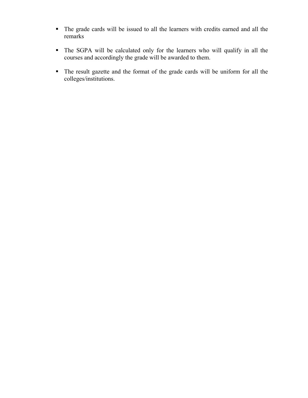- The grade cards will be issued to all the learners with credits earned and all the remarks
- The SGPA will be calculated only for the learners who will qualify in all the courses and accordingly the grade will be awarded to them.
- The result gazette and the format of the grade cards will be uniform for all the colleges/institutions.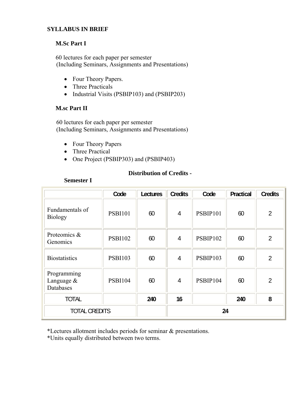# **SYLLABUS IN BRIEF**

# **M.Sc Part I**

60 lectures for each paper per semester (Including Seminars, Assignments and Presentations)

- Four Theory Papers.
- Three Practicals
- Industrial Visits (PSBIP103) and (PSBIP203)

# **M.sc Part II**

 60 lectures for each paper per semester (Including Seminars, Assignments and Presentations)

- Four Theory Papers
- Three Practical
- One Project (PSBIP303) and (PSBIP403)

# **Distribution of Credits -**

# **Semester I**

|                                           | Code           | Lectures | <b>Credits</b> | Code     | Practical | <b>Credits</b> |
|-------------------------------------------|----------------|----------|----------------|----------|-----------|----------------|
| Fundamentals of<br><b>Biology</b>         | <b>PSBI101</b> | 60       | $\overline{4}$ | PSBIP101 | 60        | $\overline{2}$ |
| Proteomics &<br>Genomics                  | <b>PSBI102</b> | 60       | 4              | PSBIP102 | 60        | $\overline{2}$ |
| <b>Biostatistics</b>                      | <b>PSBI103</b> | 60       | 4              | PSBIP103 | 60        | $\overline{2}$ |
| Programming<br>Language $\&$<br>Databases | <b>PSBI104</b> | 60       | 4              | PSBIP104 | 60        | $\overline{2}$ |
| <b>TOTAL</b>                              |                | 240      | 16             |          | 240       | 8              |
| <b>TOTAL CREDITS</b>                      |                |          | 24             |          |           |                |

\*Lectures allotment includes periods for seminar & presentations.

\*Units equally distributed between two terms.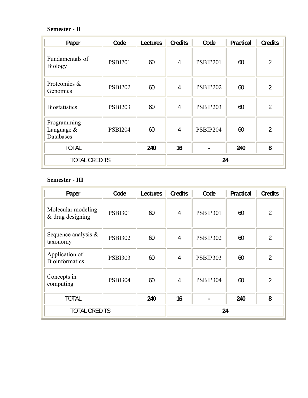# **Semester - II**

| Paper                                     | Code           | <b>Lectures</b> | <b>Credits</b> | Code            | Practical | <b>Credits</b> |
|-------------------------------------------|----------------|-----------------|----------------|-----------------|-----------|----------------|
| Fundamentals of<br><b>Biology</b>         | <b>PSBI201</b> | 60              | $\overline{4}$ | PSBIP201        | 60        | $\overline{2}$ |
| Proteomics &<br>Genomics                  | <b>PSBI202</b> | 60              | $\overline{4}$ | <b>PSBIP202</b> | 60        | $\overline{2}$ |
| <b>Biostatistics</b>                      | <b>PSBI203</b> | 60              | 4              | PSBIP203        | 60        | $\overline{2}$ |
| Programming<br>Language $\&$<br>Databases | <b>PSBI204</b> | 60              | 4              | PSBIP204        | 60        | 2              |
| <b>TOTAL</b>                              |                | 240             | 16             |                 | 240       | 8              |
| <b>TOTAL CREDITS</b>                      |                |                 |                | 24              |           |                |

# **Semester - III**

| Paper                                    | Code           | Lectures | <b>Credits</b> | Code            | Practical | <b>Credits</b> |
|------------------------------------------|----------------|----------|----------------|-----------------|-----------|----------------|
| Molecular modeling<br>$&$ drug designing | <b>PSBI301</b> | 60       | $\overline{4}$ | <b>PSBIP301</b> | 60        | $\overline{2}$ |
| Sequence analysis $\&$<br>taxonomy       | <b>PSBI302</b> | 60       | 4              | <b>PSBIP302</b> | 60        | $\overline{2}$ |
| Application of<br><b>Bioinformatics</b>  | <b>PSBI303</b> | 60       | $\overline{4}$ | PSBIP303        | 60        | $\overline{2}$ |
| Concepts in<br>computing                 | <b>PSBI304</b> | 60       | $\overline{4}$ | PSBIP304        | 60        | $\overline{2}$ |
| <b>TOTAL</b>                             |                | 240      | 16             |                 | 240       | 8              |
| <b>TOTAL CREDITS</b>                     |                |          | 24             |                 |           |                |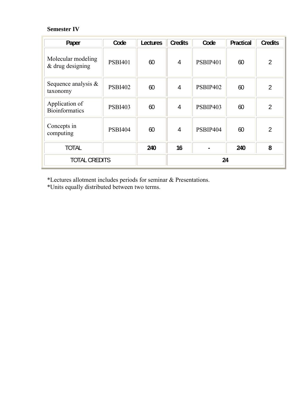# **Semester IV**

| Paper                                    | Code           | Lectures | <b>Credits</b> | Code            | <b>Practical</b> | <b>Credits</b> |
|------------------------------------------|----------------|----------|----------------|-----------------|------------------|----------------|
| Molecular modeling<br>$&$ drug designing | <b>PSBI401</b> | 60       | $\overline{4}$ | PSBIP401        | 60               | $\overline{2}$ |
| Sequence analysis $\&$<br>taxonomy       | <b>PSBI402</b> | 60       | 4              | <b>PSBIP402</b> | 60               | $\overline{2}$ |
| Application of<br><b>Bioinformatics</b>  | <b>PSBI403</b> | 60       | 4              | <b>PSBIP403</b> | 60               | $\overline{2}$ |
| Concepts in<br>computing                 | <b>PSBI404</b> | 60       | $\overline{4}$ | PSBIP404        | 60               | $\overline{2}$ |
| <b>TOTAL</b>                             |                | 240      | 16             |                 | 240              | 8              |
| <b>TOTAL CREDITS</b>                     |                |          |                | 24              |                  |                |

\*Lectures allotment includes periods for seminar & Presentations.

\*Units equally distributed between two terms.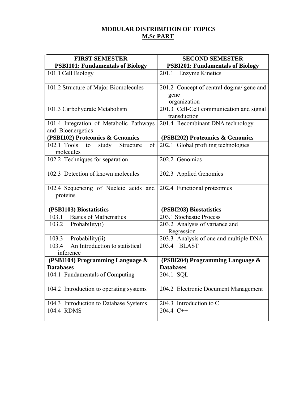# **MODULAR DISTRIBUTION OF TOPICS M.Sc PART**

| <b>FIRST SEMESTER</b>                                                         | <b>SECOND SEMESTER</b>                                           |
|-------------------------------------------------------------------------------|------------------------------------------------------------------|
| <b>PSBI101: Fundamentals of Biology</b>                                       | <b>PSBI201: Fundamentals of Biology</b>                          |
| 101.1 Cell Biology                                                            | 201.1 Enzyme Kinetics                                            |
| 101.2 Structure of Major Biomolecules                                         | 201.2 Concept of central dogma/ gene and<br>gene<br>organization |
| 101.3 Carbohydrate Metabolism                                                 | 201.3 Cell-Cell communication and signal<br>transduction         |
| 101.4 Integration of Metabolic Pathways<br>and Bioenergetics                  | 201.4 Recombinant DNA technology                                 |
| (PSBI102) Proteomics & Genomics                                               | (PSBI202) Proteomics & Genomics                                  |
| $102.1$ Tools<br>of<br>study<br>Structure<br>to<br>molecules                  | 202.1 Global profiling technologies                              |
| 102.2 Techniques for separation                                               | 202.2 Genomics                                                   |
| 102.3 Detection of known molecules                                            | 202.3 Applied Genomics                                           |
| 102.4 Sequencing of Nucleic acids and 202.4 Functional proteomics<br>proteins |                                                                  |
| (PSBI103) Biostatistics                                                       | (PSBI203) Biostatistics                                          |
| <b>Basics of Mathematics</b><br>103.1                                         | 203.1 Stochastic Process                                         |
| 103.2<br>Probability(i)                                                       | 203.2 Analysis of variance and<br>Regression                     |
| 103.3 Probability(ii)                                                         | 203.3 Analysis of one and multiple DNA                           |
| An Introduction to statistical<br>103.4<br>inference                          | 203.4 BLAST                                                      |
| (PSBI104) Programming Language &<br><b>Databases</b>                          | (PSBI204) Programming Language &<br><b>Databases</b>             |
| 104.1 Fundamentals of Computing                                               | 204.1 SQL                                                        |
| 104.2 Introduction to operating systems                                       | 204.2 Electronic Document Management                             |
| 104.3 Introduction to Database Systems                                        | 204.3 Introduction to C                                          |
| 104.4 RDMS                                                                    | 204.4 C++                                                        |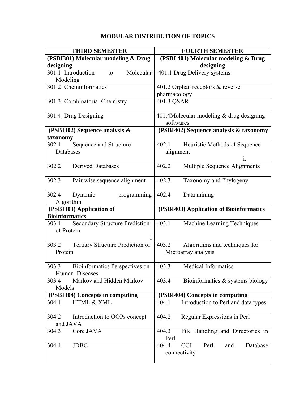# **MODULAR DISTRIBUTION OF TOPICS**

| <b>THIRD SEMESTER</b>                                        | <b>FOURTH SEMESTER</b>                                         |
|--------------------------------------------------------------|----------------------------------------------------------------|
| (PSBI301) Molecular modeling & Drug                          | (PSBI 401) Molecular modeling & Drug                           |
| designing                                                    | designing                                                      |
| Molecular<br>301.1 Introduction<br>to<br>Modeling            | 401.1 Drug Delivery systems                                    |
| 301.2 Cheminformatics                                        | 401.2 Orphan receptors & reverse<br>pharmacology               |
| 301.3 Combinatorial Chemistry                                | 401.3 QSAR                                                     |
| 301.4 Drug Designing                                         | 401.4M olecular modeling $&$ drug designing<br>softwares       |
| (PSBI302) Sequence analysis $\&$<br>taxonomy                 | (PSBI402) Sequence analysis & taxonomy                         |
| Sequence and Structure<br>302.1<br>Databases                 | 402.1<br>Heuristic Methods of Sequence<br>alignment            |
| <b>Derived Databases</b><br>302.2                            | Multiple Sequence Alignments<br>402.2                          |
| Pair wise sequence alignment<br>302.3                        | 402.3<br>Taxonomy and Phylogeny                                |
| 302.4<br>Dynamic<br>programming<br>Algorithm                 | Data mining<br>402.4                                           |
| (PSBI303) Application of                                     | (PSBI403) Application of Bioinformatics                        |
| <b>Bioinformatics</b>                                        |                                                                |
| <b>Secondary Structure Prediction</b><br>303.1<br>of Protein | 403.1<br>Machine Learning Techniques                           |
| Tertiary Structure Prediction of<br>303.2                    | Algorithms and techniques for<br>403.2                         |
| Protein                                                      | Microarray analysis                                            |
| Bioinformatics Perspectives on<br>303.3                      | <b>Medical Informatics</b><br>403.3                            |
| Human Diseases                                               |                                                                |
| Markov and Hidden Markov<br>303.4                            | Bioinformatics & systems biology<br>403.4                      |
| Models                                                       |                                                                |
| (PSBI304) Concepts in computing                              | (PSBI404) Concepts in computing                                |
| HTML & XML<br>304.1                                          | Introduction to Perl and data types<br>404.1                   |
| 304.2<br>Introduction to OOPs concept<br>and JAVA            | Regular Expressions in Perl<br>404.2                           |
| Core JAVA<br>304.3                                           | 404.3<br>File Handling and Directories in<br>Perl              |
| <b>JDBC</b><br>304.4                                         | 404.4<br>Perl<br><b>CGI</b><br>and<br>Database<br>connectivity |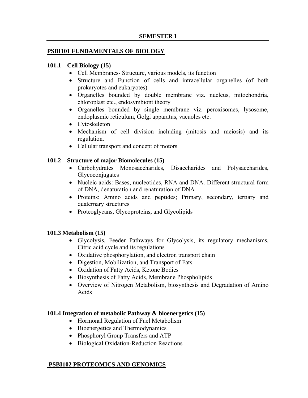## **PSBI101 FUNDAMENTALS OF BIOLOGY**

#### **101.1 Cell Biology (15)**

- Cell Membranes- Structure, various models, its function
- Structure and Function of cells and intracellular organelles (of both prokaryotes and eukaryotes)
- Organelles bounded by double membrane viz. nucleus, mitochondria, chloroplast etc., endosymbiont theory
- Organelles bounded by single membrane viz. peroxisomes, lysosome, endoplasmic reticulum, Golgi apparatus, vacuoles etc.
- Cytoskeleton
- Mechanism of cell division including (mitosis and meiosis) and its regulation.
- Cellular transport and concept of motors

## **101.2 Structure of major Biomolecules (15)**

- Carbohydrates Monosaccharides, Disaccharides and Polysaccharides, **Glycoconjugates**
- Nucleic acids: Bases, nucleotides, RNA and DNA. Different structural form of DNA, denaturation and renaturation of DNA
- Proteins: Amino acids and peptides; Primary, secondary, tertiary and quaternary structures
- Proteoglycans, Glycoproteins, and Glycolipids

## **101.3 Metabolism (15)**

- Glycolysis, Feeder Pathways for Glycolysis, its regulatory mechanisms, Citric acid cycle and its regulations
- Oxidative phosphorylation, and electron transport chain
- Digestion, Mobilization, and Transport of Fats
- Oxidation of Fatty Acids, Ketone Bodies
- Biosynthesis of Fatty Acids, Membrane Phospholipids
- Overview of Nitrogen Metabolism, biosynthesis and Degradation of Amino Acids

## **101.4 Integration of metabolic Pathway & bioenergetics (15)**

- Hormonal Regulation of Fuel Metabolism
- Bioenergetics and Thermodynamics
- Phosphoryl Group Transfers and ATP
- Biological Oxidation-Reduction Reactions

## **PSBI102 PROTEOMICS AND GENOMICS**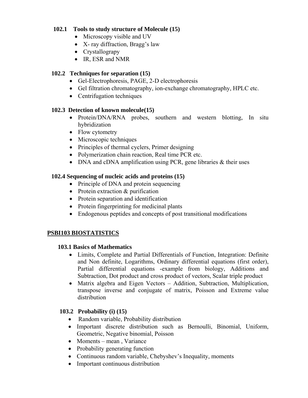# **102.1 Tools to study structure of Molecule (15)**

- Microscopy visible and UV
- X- ray diffraction, Bragg's law
- Crystallograpy
- IR, ESR and NMR

# **102.2 Techniques for separation (15)**

- Gel-Electrophoresis, PAGE, 2-D electrophoresis
- Gel filtration chromatography, ion-exchange chromatography, HPLC etc.
- Centrifugation techniques

# **102.3 Detection of known molecule(15)**

- Protein/DNA/RNA probes, southern and western blotting, In situ hybridization
- Flow cytometry
- Microscopic techniques
- Principles of thermal cyclers, Primer designing
- Polymerization chain reaction, Real time PCR etc.
- DNA and cDNA amplification using PCR, gene libraries & their uses

# **102.4 Sequencing of nucleic acids and proteins (15)**

- Principle of DNA and protein sequencing
- Protein extraction & purification
- Protein separation and identification
- Protein fingerprinting for medicinal plants
- Endogenous peptides and concepts of post transitional modifications

# **PSBI103 BIOSTATISTICS**

## **103.1 Basics of Mathematics**

- Limits, Complete and Partial Differentials of Function, Integration: Definite and Non definite, Logarithms, Ordinary differential equations (first order), Partial differential equations -example from biology, Additions and Subtraction, Dot product and cross product of vectors, Scalar triple product
- Matrix algebra and Eigen Vectors Addition, Subtraction, Multiplication, transpose inverse and conjugate of matrix, Poisson and Extreme value distribution

## **103.2 Probability (i) (15)**

- Random variable, Probability distribution
- Important discrete distribution such as Bernoulli, Binomial, Uniform, Geometric, Negative binomial, Poisson
- Moments mean, Variance
- Probability generating function
- Continuous random variable, Chebyshev's Inequality, moments
- Important continuous distribution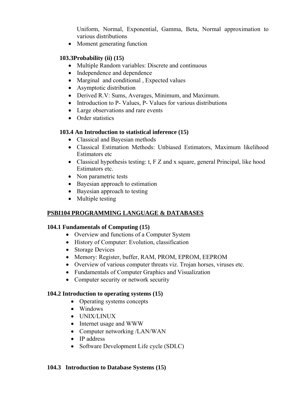Uniform, Normal, Exponential, Gamma, Beta, Normal approximation to various distributions

• Moment generating function

# **103.3Probability (ii) (15)**

- Multiple Random variables: Discrete and continuous
- Independence and dependence
- Marginal and conditional, Expected values
- Asymptotic distribution
- Derived R.V: Sums, Averages, Minimum, and Maximum.
- Introduction to P- Values, P- Values for various distributions
- Large observations and rare events
- Order statistics

# **103.4 An Introduction to statistical inference (15)**

- Classical and Bayesian methods
- Classical Estimation Methods: Unbiased Estimators, Maximum likelihood Estimators etc
- Classical hypothesis testing: t, F Z and x square, general Principal, like hood Estimators etc.
- Non parametric tests
- Bayesian approach to estimation
- Bayesian approach to testing
- Multiple testing

# **PSBI104 PROGRAMMING LANGUAGE & DATABASES**

## **104.1 Fundamentals of Computing (15)**

- Overview and functions of a Computer System
- History of Computer: Evolution, classification
- Storage Devices
- Memory: Register, buffer, RAM, PROM, EPROM, EEPROM
- Overview of various computer threats viz. Trojan horses, viruses etc.
- Fundamentals of Computer Graphics and Visualization
- Computer security or network security

## **104.2 Introduction to operating systems (15)**

- Operating systems concepts
- Windows
- UNIX/LINUX
- Internet usage and WWW
- Computer networking /LAN/WAN
- IP address
- Software Development Life cycle (SDLC)

## **104.3 Introduction to Database Systems (15)**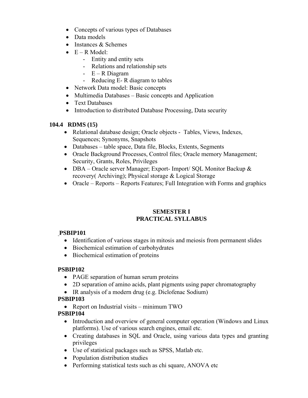- Concepts of various types of Databases
- Data models
- Instances & Schemes
- $\bullet$  E R Model:
	- Entity and entity sets
	- Relations and relationship sets
	- E R Diagram
	- Reducing E- R diagram to tables
- Network Data model: Basic concepts
- Multimedia Databases Basic concepts and Application
- Text Databases
- Introduction to distributed Database Processing, Data security

# **104.4 RDMS (15)**

- Relational database design; Oracle objects Tables, Views, Indexes, Sequences; Synonyms, Snapshots
- Databases table space, Data file, Blocks, Extents, Segments
- Oracle Background Processes, Control files; Oracle memory Management; Security, Grants, Roles, Privileges
- DBA Oracle server Manager; Export- Import/ SQL Monitor Backup & recovery( Archiving); Physical storage & Logical Storage
- Oracle Reports Reports Features; Full Integration with Forms and graphics

# **SEMESTER I PRACTICAL SYLLABUS**

# **PSBIP101**

- Identification of various stages in mitosis and meiosis from permanent slides
- Biochemical estimation of carbohydrates
- Biochemical estimation of proteins

# **PSBIP102**

- PAGE separation of human serum proteins
- 2D separation of amino acids, plant pigments using paper chromatography
- IR analysis of a modern drug (e.g. Diclofenac Sodium)

# **PSBIP103**

• Report on Industrial visits – minimum TWO

# **PSBIP104**

- Introduction and overview of general computer operation (Windows and Linux platforms). Use of various search engines, email etc.
- Creating databases in SQL and Oracle, using various data types and granting privileges
- Use of statistical packages such as SPSS, Matlab etc.
- Population distribution studies
- Performing statistical tests such as chi square, ANOVA etc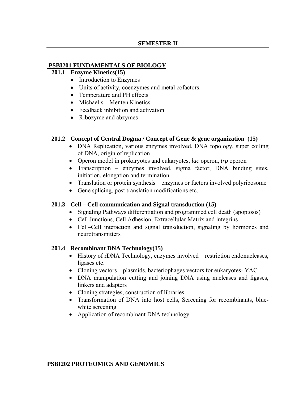#### **PSBI201 FUNDAMENTALS OF BIOLOGY**

#### **201.1 Enzyme Kinetics(15)**

- Introduction to Enzymes
- Units of activity, coenzymes and metal cofactors.
- Temperature and PH effects
- Michaelis Menten Kinetics
- Feedback inhibition and activation
- Ribozyme and abzymes

#### **201.2 Concept of Central Dogma / Concept of Gene & gene organization (15)**

- DNA Replication, various enzymes involved, DNA topology, super coiling of DNA, origin of replication
- Operon model in prokaryotes and eukaryotes, *lac* operon, *trp* operon
- Transcription enzymes involved, sigma factor, DNA binding sites, initiation, elongation and termination
- Translation or protein synthesis enzymes or factors involved polyribosome
- Gene splicing, post translation modifications etc.

#### **201.3 Cell – Cell communication and Signal transduction (15)**

- Signaling Pathways differentiation and programmed cell death (apoptosis)
- Cell Junctions, Cell Adhesion, Extracellular Matrix and integrins
- Cell–Cell interaction and signal transduction, signaling by hormones and neurotransmitters

#### **201.4 Recombinant DNA Technology(15)**

- History of rDNA Technology, enzymes involved restriction endonucleases, ligases etc.
- Cloning vectors plasmids, bacteriophages vectors for eukaryotes- YAC
- DNA manipulation–cutting and joining DNA using nucleases and ligases, linkers and adapters
- Cloning strategies, construction of libraries
- Transformation of DNA into host cells, Screening for recombinants, bluewhite screening
- Application of recombinant DNA technology

#### **PSBI202 PROTEOMICS AND GENOMICS**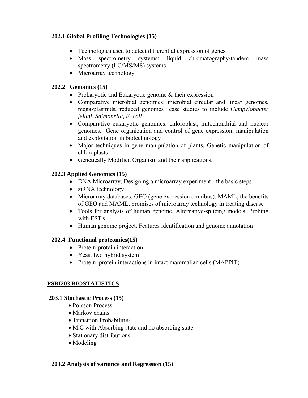# **202.1 Global Profiling Technologies (15)**

- Technologies used to detect differential expression of genes
- Mass spectrometry systems: liquid chromatography/tandem mass spectrometry (LC/MS/MS) systems
- Microarray technology

# **202.2 Genomics (15)**

- Prokaryotic and Eukaryotic genome & their expression
- Comparative microbial genomics: microbial circular and linear genomes, mega-plasmids, reduced genomes case studies to include *Campylobacter jejuni, Salmonella, E. coli*
- Comparative eukaryotic genomics: chloroplast, mitochondrial and nuclear genomes. Gene organization and control of gene expression; manipulation and exploitation in biotechnology
- Major techniques in gene manipulation of plants, Genetic manipulation of chloroplasts
- Genetically Modified Organism and their applications.

# **202.3 Applied Genomics (15)**

- DNA Microarray, Designing a microarray experiment the basic steps
- siRNA technology
- Microarray databases: GEO (gene expression omnibus), MAML, the benefits of GEO and MAML, promises of microarray technology in treating disease
- Tools for analysis of human genome, Alternative-splicing models, Probing with EST's
- Human genome project, Features identification and genome annotation

## **202.4 Functional proteomics(15)**

- Protein-protein interaction
- Yeast two hybrid system
- Protein–protein interactions in intact mammalian cells (MAPPIT)

## **PSBI203 BIOSTATISTICS**

## **203.1 Stochastic Process (15)**

- Poisson Process
- Markov chains
- Transition Probabilities
- M.C with Absorbing state and no absorbing state
- Stationary distributions
- Modeling

#### **203.2 Analysis of variance and Regression (15)**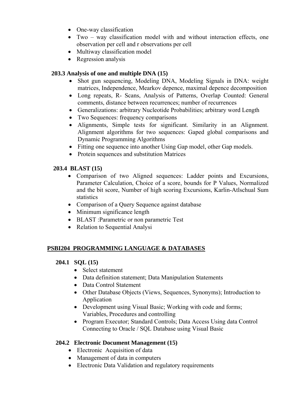- One-way classification
- Two way classification model with and without interaction effects, one observation per cell and r observations per cell
- Multiway classification model
- Regression analysis

# **203.3 Analysis of one and multiple DNA (15)**

- Shot gun sequencing, Modeling DNA, Modeling Signals in DNA: weight matrices, Independence, Mearkov depence, maximal depence decomposition
- Long repeats, R- Scans, Analysis of Patterns, Overlap Counted: General comments, distance between recurrences; number of recurrences
- Generalizations: arbitrary Nucleotide Probabilities; arbitrary word Length
- Two Sequences: frequency comparisons
- Alignments, Simple tests for significant. Similarity in an Alignment. Alignment algorithms for two sequences: Gaped global comparisons and Dynamic Programming Algorithms
- Fitting one sequence into another Using Gap model, other Gap models.
- Protein sequences and substitution Matrices

# **203.4 BLAST (15)**

- Comparison of two Aligned sequences: Ladder points and Excursions, Parameter Calculation, Choice of a score, bounds for P Values, Normalized and the bit score, Number of high scoring Excursions, Karlin-Atlschual Sum statistics
- Comparison of a Query Sequence against database
- Minimum significance length
- BLAST :Parametric or non parametric Test
- Relation to Sequential Analysi

# **PSBI204 PROGRAMMING LANGUAGE & DATABASES**

# **204.1 SQL (15)**

- Select statement
- Data definition statement; Data Manipulation Statements
- Data Control Statement
- Other Database Objects (Views, Sequences, Synonyms); Introduction to Application
- Development using Visual Basic; Working with code and forms; Variables, Procedures and controlling
- Program Executor; Standard Controls; Data Access Using data Control Connecting to Oracle / SQL Database using Visual Basic

# **204.2 Electronic Document Management (15)**

- Electronic Acquisition of data
- Management of data in computers
- Electronic Data Validation and regulatory requirements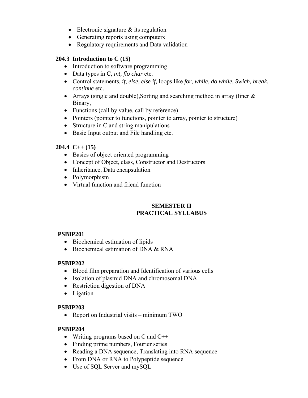- Electronic signature  $\&$  its regulation
- Generating reports using computers
- Regulatory requirements and Data validation

## **204.3 Introduction to C (15)**

- Introduction to software programming
- Data types in C*, int, flo char* etc.
- Control statements, *if, else, else if,* loops like *for*, *while*, *do while, Swich, break, continue* etc.
- Arrays (single and double), Sorting and searching method in array (liner  $\&$ Binary,
- Functions (call by value, call by reference)
- Pointers (pointer to functions, pointer to array, pointer to structure)
- Structure in C and string manipulations
- Basic Input output and File handling etc.

# **204.4 C++ (15)**

- Basics of object oriented programming
- Concept of Object, class, Constructor and Destructors
- Inheritance, Data encapsulation
- Polymorphism
- Virtual function and friend function

# **SEMESTER II PRACTICAL SYLLABUS**

## **PSBIP201**

- Biochemical estimation of lipids
- Biochemical estimation of DNA & RNA

## **PSBIP202**

- Blood film preparation and Identification of various cells
- Isolation of plasmid DNA and chromosomal DNA
- Restriction digestion of DNA
- Ligation

## **PSBIP203**

• Report on Industrial visits – minimum TWO

## **PSBIP204**

- Writing programs based on C and C<sup>++</sup>
- Finding prime numbers, Fourier series
- Reading a DNA sequence, Translating into RNA sequence
- From DNA or RNA to Polypeptide sequence
- Use of SQL Server and mySQL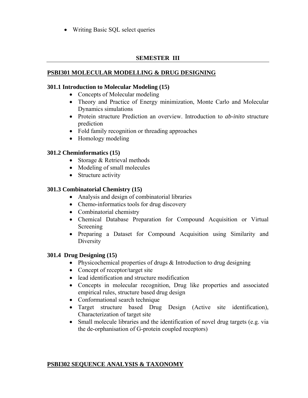• Writing Basic SQL select queries

# **SEMESTER III**

# **PSBI301 MOLECULAR MODELLING & DRUG DESIGNING**

## **301.1 Introduction to Molecular Modeling (15)**

- Concepts of Molecular modeling
- Theory and Practice of Energy minimization, Monte Carlo and Molecular Dynamics simulations
- Protein structure Prediction an overview. Introduction to *ab-inito* structure prediction
- Fold family recognition or threading approaches
- Homology modeling

# **301.2 Cheminformatics (15)**

- Storage & Retrieval methods
- Modeling of small molecules
- Structure activity

# **301.3 Combinatorial Chemistry (15)**

- Analysis and design of combinatorial libraries
- Chemo-informatics tools for drug discovery
- Combinatorial chemistry
- Chemical Database Preparation for Compound Acquisition or Virtual Screening
- Preparing a Dataset for Compound Acquisition using Similarity and **Diversity**

## **301.4 Drug Designing (15)**

- Physicochemical properties of drugs & Introduction to drug designing
- Concept of receptor/target site
- lead identification and structure modification
- Concepts in molecular recognition, Drug like properties and associated empirical rules, structure based drug design
- Conformational search technique
- Target structure based Drug Design (Active site identification), Characterization of target site
- Small molecule libraries and the identification of novel drug targets (e.g. via the de-orphanisation of G-protein coupled receptors)

## **PSBI302 SEQUENCE ANALYSIS & TAXONOMY**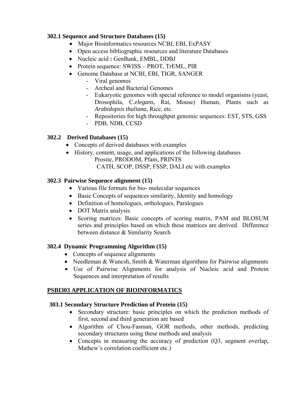# **302.1 Sequence and Structure Databases (15)**

- Major Bioinformatics resources NCBI, EBI, ExPASY
- Open access bibliographic resources and literature Databases
- Nucleic acid **:** GenBank, EMBL, DDBJ
- Protein sequence: SWISS PROT, TrEML, PIR
- Genome Database at NCBI, EBI, TIGR, SANGER
	- Viral genomes
	- Archeal and Bacterial Genomes
	- Eukaryotic genomes with special reference to model organisms (yeast, Drosophila, C*.elegans*, Rat, Mouse) Human, Plants such as *Arabidopsis thaliana*, Rice, etc.
	- Repositories for high throughput genomic sequences: EST, STS, GSS
	- PDB, NDB, CCSD

# **302.2 Derived Databases (15)**

- Concepts of derived databases with examples
- History, content, usage, and applications of the following databases Prosite, PRODOM, Pfam, PRINTS CATH, SCOP, DSSP, FSSP, DALI etc with examples

# **302.3 Pairwise Sequence alignment (15)**

- Various file formats for bio- molecular sequences
- Basic Concepts of sequences similarity, Identity and homology
- Definition of homologues, orthologues, Paralogues
- DOT Matrix analysis
- Scoring matrices: Basic concepts of scoring matrix, PAM and BLOSUM series and principles based on which these matrices are derived. Difference between distance & Similarity Search

## **302.4 Dynamic Programming Algorithm (15)**

- Concepts of sequence alignments
- Needleman & Wuncsh, Smith & Waterman algorithms for Pairwise alignments
- Use of Pairwise Alignments for analysis of Nucleic acid and Protein Sequences and interpretation of results

## **PSBI303 APPLICATION OF BIOINFORMATICS**

## **303.1 Secondary Structure Prediction of Protein (15)**

- Secondary structure: basic principles on which the prediction methods of first, second and third generation are based
- Algorithm of Chou-Fasman, GOR methods, other methods, predicting secondary structures using these methods and analysis
- Concepts in measuring the accuracy of prediction (Q3, segment overlap, Mathew's correlation coefficient etc.)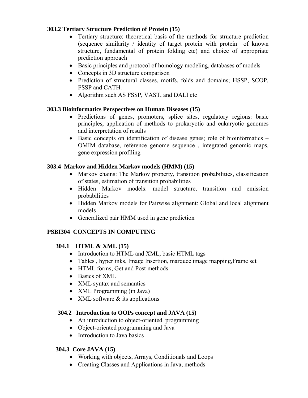# **303.2 Tertiary Structure Prediction of Protein (15)**

- Tertiary structure: theoretical basis of the methods for structure prediction (sequence similarity / identity of target protein with protein of known structure, fundamental of protein folding etc) and choice of appropriate prediction approach
- Basic principles and protocol of homology modeling, databases of models
- Concepts in 3D structure comparison
- Prediction of structural classes, motifs, folds and domains; HSSP, SCOP, FSSP and CATH.
- Algorithm such AS FSSP, VAST, and DALI etc

# **303.3 Bioinformatics Perspectives on Human Diseases (15)**

- Predictions of genes, promoters, splice sites, regulatory regions: basic principles, application of methods to prokaryotic and eukaryotic genomes and interpretation of results
- Basic concepts on identification of disease genes; role of bioinformatics OMIM database, reference genome sequence , integrated genomic maps, gene expression profiling

# **303.4 Markov and Hidden Markov models (HMM) (15)**

- Markov chains: The Markov property, transition probabilities, classification of states, estimation of transition probabilities
- Hidden Markov models: model structure, transition and emission probabilities
- Hidden Markov models for Pairwise alignment: Global and local alignment models
- Generalized pair HMM used in gene prediction

# **PSBI304 CONCEPTS IN COMPUTING**

# **304.1 HTML & XML (15)**

- Introduction to HTML and XML, basic HTML tags
- Tables, hyperlinks, Image Insertion, marquee image mapping, Frame set
- HTML forms, Get and Post methods
- Basics of XML
- XML syntax and semantics
- XML Programming (in Java)
- XML software  $&$  its applications

## **304.2 Introduction to OOPs concept and JAVA (15)**

- An introduction to object-oriented programming
- Object-oriented programming and Java
- Introduction to Java basics

## **304.3 Core JAVA (15)**

- Working with objects, Arrays, Conditionals and Loops
- Creating Classes and Applications in Java, methods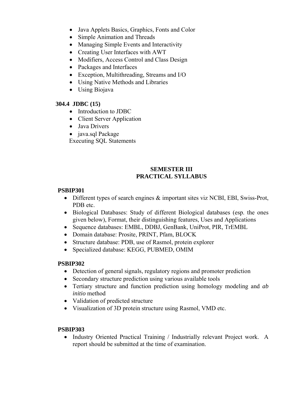- Java Applets Basics, Graphics, Fonts and Color
- Simple Animation and Threads
- Managing Simple Events and Interactivity
- Creating User Interfaces with AWT
- Modifiers, Access Control and Class Design
- Packages and Interfaces
- Exception, Multithreading, Streams and I/O
- Using Native Methods and Libraries
- Using Biojava

# **304.4 JDBC (15)**

- Introduction to JDBC
- Client Server Application
- Java Drivers
- java.sql Package

Executing SQL Statements

# **SEMESTER III PRACTICAL SYLLABUS**

## **PSBIP301**

- Different types of search engines  $\&$  important sites viz NCBI, EBI, Swiss-Prot, PDB etc.
- Biological Databases: Study of different Biological databases (esp. the ones given below), Format, their distinguishing features, Uses and Applications
- Sequence databases: EMBL, DDBJ, GenBank, UniProt, PIR, TrEMBL
- Domain database: Prosite, PRINT, Pfam, BLOCK
- Structure database: PDB, use of Rasmol, protein explorer
- Specialized database: KEGG, PUBMED, OMIM

## **PSBIP302**

- Detection of general signals, regulatory regions and promoter prediction
- Secondary structure prediction using various available tools
- Tertiary structure and function prediction using homology modeling and *ab initio* method
- Validation of predicted structure
- Visualization of 3D protein structure using Rasmol, VMD etc.

## **PSBIP303**

• Industry Oriented Practical Training / Industrially relevant Project work. A report should be submitted at the time of examination.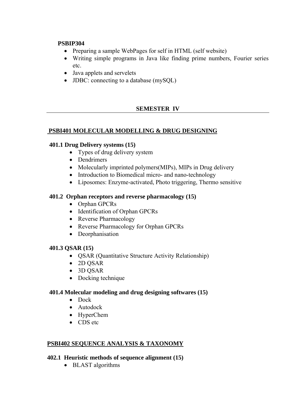## **PSBIP304**

- Preparing a sample WebPages for self in HTML (self website)
- Writing simple programs in Java like finding prime numbers, Fourier series etc.
- Java applets and servelets
- **JDBC**: connecting to a database (mySQL)

# **SEMESTER IV**

# **PSBI401 MOLECULAR MODELLING & DRUG DESIGNING**

# **401.1 Drug Delivery systems (15)**

- Types of drug delivery system
- Dendrimers
- Molecularly imprinted polymers (MIPs), MIPs in Drug delivery
- Introduction to Biomedical micro- and nano-technology
- Liposomes: Enzyme-activated, Photo triggering, Thermo sensitive

# **401.2 Orphan receptors and reverse pharmacology (15)**

- Orphan GPCRs
- Identification of Orphan GPCRs
- Reverse Pharmacology
- Reverse Pharmacology for Orphan GPCRs
- Deorphanisation

## **401.3 QSAR (15)**

- QSAR (Quantitative Structure Activity Relationship)
- 2D QSAR
- 3D QSAR
- Docking technique

## **401.4 Molecular modeling and drug designing softwares (15)**

- Dock
- Autodock
- HyperChem
- CDS etc

## **PSBI402 SEQUENCE ANALYSIS & TAXONOMY**

## **402.1 Heuristic methods of sequence alignment (15)**

• BLAST algorithms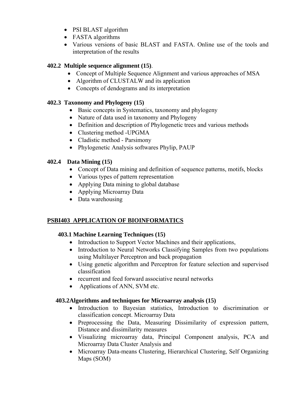- PSI BLAST algorithm
- FASTA algorithms
- Various versions of basic BLAST and FASTA. Online use of the tools and interpretation of the results

# **402.2 Multiple sequence alignment (15)**.

- Concept of Multiple Sequence Alignment and various approaches of MSA
- Algorithm of CLUSTALW and its application
- Concepts of dendograms and its interpretation

# **402.3 Taxonomy and Phylogeny (15)**

- Basic concepts in Systematics, taxonomy and phylogeny
- Nature of data used in taxonomy and Phylogeny
- Definition and description of Phylogenetic trees and various methods
- Clustering method -UPGMA
- Cladistic method Parsimony
- Phylogenetic Analysis softwares Phylip, PAUP

# **402.4 Data Mining (15)**

- Concept of Data mining and definition of sequence patterns, motifs, blocks
- Various types of pattern representation
- Applying Data mining to global database
- Applying Microarray Data
- Data warehousing

# **PSBI403 APPLICATION OF BIOINFORMATICS**

# **403.1 Machine Learning Techniques (15)**

- Introduction to Support Vector Machines and their applications,
- Introduction to Neural Networks Classifying Samples from two populations using Multilayer Perceptron and back propagation
- Using genetic algorithm and Perceptron for feature selection and supervised classification
- recurrent and feed forward associative neural networks
- Applications of ANN, SVM etc.

# **403.2Algorithms and techniques for Microarray analysis (15)**

- Introduction to Bayesian statistics, Introduction to discrimination or classification concept. Microarray Data
- Preprocessing the Data, Measuring Dissimilarity of expression pattern, Distance and dissimilarity measures
- Visualizing microarray data, Principal Component analysis, PCA and Microarray Data Cluster Analysis and
- Microarray Data-means Clustering, Hierarchical Clustering, Self Organizing Maps (SOM)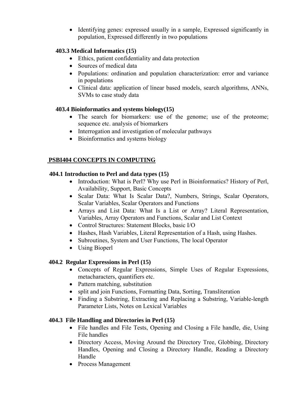• Identifying genes: expressed usually in a sample, Expressed significantly in population, Expressed differently in two populations

# **403.3 Medical Informatics (15)**

- Ethics, patient confidentiality and data protection
- Sources of medical data
- Populations: ordination and population characterization: error and variance in populations
- Clinical data: application of linear based models, search algorithms, ANNs, SVMs to case study data

# **403.4 Bioinformatics and systems biology(15)**

- The search for biomarkers: use of the genome; use of the proteome; sequence etc. analysis of biomarkers
- Interrogation and investigation of molecular pathways
- Bioinformatics and systems biology

# **PSBI404 CONCEPTS IN COMPUTING**

# **404.1 Introduction to Perl and data types (15)**

- Introduction: What is Perl? Why use Perl in Bioinformatics? History of Perl, Availability, Support, Basic Concepts
- Scalar Data: What Is Scalar Data?, Numbers, Strings, Scalar Operators, Scalar Variables, Scalar Operators and Functions
- Arrays and List Data: What Is a List or Array? Literal Representation, Variables, Array Operators and Functions, Scalar and List Context
- Control Structures: Statement Blocks, basic I/O
- Hashes, Hash Variables, Literal Representation of a Hash, using Hashes.
- Subroutines, System and User Functions, The local Operator
- Using Bioperl

# **404.2 Regular Expressions in Perl (15)**

- Concepts of Regular Expressions, Simple Uses of Regular Expressions, metacharacters, quantifiers etc.
- Pattern matching, substitution
- split and join Functions, Formatting Data, Sorting, Transliteration
- Finding a Substring, Extracting and Replacing a Substring, Variable-length Parameter Lists, Notes on Lexical Variables

# **404.3 File Handling and Directories in Perl (15)**

- File handles and File Tests, Opening and Closing a File handle, die, Using File handles
- Directory Access, Moving Around the Directory Tree, Globbing, Directory Handles, Opening and Closing a Directory Handle, Reading a Directory Handle
- Process Management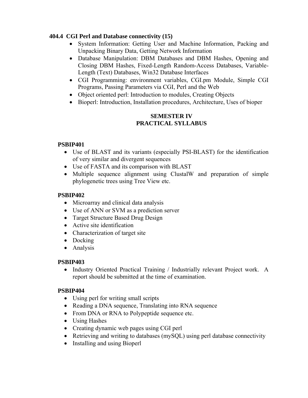# **404.4 CGI Perl and Database connectivity (15)**

- System Information: Getting User and Machine Information, Packing and Unpacking Binary Data, Getting Network Information
- Database Manipulation: DBM Databases and DBM Hashes, Opening and Closing DBM Hashes, Fixed-Length Random-Access Databases, Variable-Length (Text) Databases, Win32 Database Interfaces
- CGI Programming: environment variables, CGI.pm Module, Simple CGI Programs, Passing Parameters via CGI, Perl and the Web
- Object oriented perl: Introduction to modules, Creating Objects
- Bioperl: Introduction, Installation procedures, Architecture, Uses of bioper

# **SEMESTER IV PRACTICAL SYLLABUS**

# **PSBIP401**

- Use of BLAST and its variants (especially PSI-BLAST) for the identification of very similar and divergent sequences
- Use of FASTA and its comparison with BLAST
- Multiple sequence alignment using ClustalW and preparation of simple phylogenetic trees using Tree View etc.

# **PSBIP402**

- Microarray and clinical data analysis
- Use of ANN or SVM as a prediction server
- Target Structure Based Drug Design
- Active site identification
- Characterization of target site
- Docking
- Analysis

# **PSBIP403**

• Industry Oriented Practical Training / Industrially relevant Project work. A report should be submitted at the time of examination.

# **PSBIP404**

- Using perl for writing small scripts
- Reading a DNA sequence, Translating into RNA sequence
- From DNA or RNA to Polypeptide sequence etc.
- Using Hashes
- Creating dynamic web pages using CGI perl
- Retrieving and writing to databases (mySQL) using perl database connectivity
- Installing and using Bioperl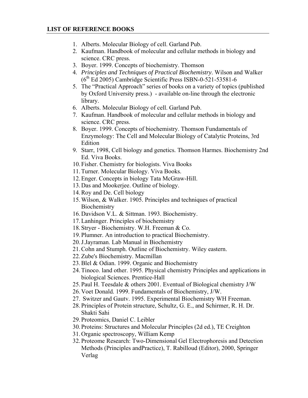- 1. Alberts. Molecular Biology of cell. Garland Pub.
- 2. Kaufman. Handbook of molecular and cellular methods in biology and science. CRC press.
- 3. Boyer. 1999. Concepts of biochemistry. Thomson
- 4. *Principles and Techniques of Practical Biochemistry*. Wilson and Walker  $(6<sup>th</sup> Ed 2005)$  Cambridge Scientific Press ISBN-0-521-53581-6
- 5. The "Practical Approach" series of books on a variety of topics (published by Oxford University press.) - available on-line through the electronic library.
- 6. Alberts. Molecular Biology of cell. Garland Pub.
- 7. Kaufman. Handbook of molecular and cellular methods in biology and science. CRC press.
- 8. Boyer. 1999. Concepts of biochemistry. Thomson Fundamentals of Enzymology: The Cell and Molecular Biology of Catalytic Proteins, 3rd Edition
- 9. Starr, 1998, Cell biology and genetics. Thomson Harmes. Biochemistry 2nd Ed. Viva Books.
- 10.Fisher. Chemistry for biologists. Viva Books
- 11.Turner. Molecular Biology. Viva Books.
- 12.Enger. Concepts in biology Tata McGraw-Hill.
- 13.Das and Mookerjee. Outline of biology.
- 14.Roy and De. Cell biology
- 15.Wilson, & Walker. 1905. Principles and techniques of practical **Biochemistry**
- 16.Davidson V.L. & Sittman. 1993. Biochemistry.
- 17.Lanhinger. Principles of biochemistry
- 18.Stryer Biochemistry. W.H. Freeman & Co.
- 19.Plumner. An introduction to practical Biochemistry.
- 20.J.Jayraman. Lab Manual in Biochemistry
- 21.Cohn and Stumph. Outline of Biochemistry. Wiley eastern.
- 22.Zube's Biochemistry. Macmillan
- 23.Blel & Odian. 1999. Organic and Biochemistry
- 24.Tinoco. land other. 1995. Physical chemistry Principles and applications in biological Sciences. Prentice-Hall
- 25.Paul H. Teesdale & others 2001. Eventual of Biological chemistry J/W
- 26.Voet Donald. 1999. Fundamentals of Biochemistry, J/W.
- 27. Switzer and Gautv. 1995. Experimental Biochemistry WH Freeman.
- 28.Principles of Protein structure, Schultz, G. E., and Schirmer, R. H. Dr. Shakti Sahi
- 29.Proteomics, Daniel C. Leibler
- 30.Proteins: Structures and Molecular Principles (2d ed.), TE Creighton
- 31.Organic spectroscopy, William Kemp
- 32.Proteome Research: Two-Dimensional Gel Electrophoresis and Detection Methods (Principles andPractice), T. Rabilloud (Editor), 2000, Springer Verlag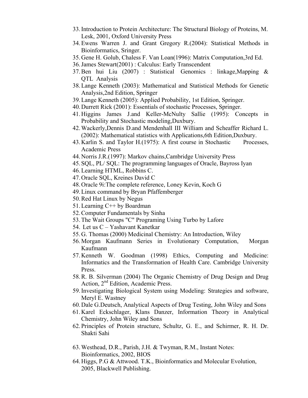- 33.Introduction to Protein Architecture: The Structural Biology of Proteins, M. Lesk, 2001, Oxford University Press
- 34.Ewens Warren J. and Grant Gregory R.(2004): Statistical Methods in Bioinformatics, Sringer.
- 35.Gene H. Golub, Chaless F. Van Loan(1996): Matrix Computation,3rd Ed.
- 36.James Stewart(2001) : Calculus: Early Transcendent
- 37.Ben hui Liu (2007) : Statistical Genomics : linkage,Mapping & QTL Analysis
- 38.Lange Kenneth (2003): Mathematical and Statistical Methods for Genetic Analysis,2nd Edition, Springer
- 39.Lange Kenneth (2005): Applied Probability, 1st Edition, Springer.
- 40.Durrett Rick (2001): Essentials of stochastic Processes, Springer.
- 41.Higgins James J.and Keller-McNulty Sallie (1995): Concepts in Probability and Stochastic modeling,Duxbury.
- 42.Wackerly,Dennis D.and Mendenhall III William and Scheaffer Richard L. (2002): Mathematical statistics with Applications,6th Edition,Duxbury.
- 43.Karlin S. and Taylor H.(1975): A first course in Stochastic Processes, Academic Press
- 44.Norris J.R.(1997): Markov chains,Cambridge University Press
- 45.SQL, PL/ SQL: The programming languages of Oracle, Bayross Iyan
- 46.Learning HTML, Robbins C.
- 47.Oracle SQL, Kreines David C
- 48.Oracle 9i:The complete reference, Loney Kevin, Koch G
- 49.Linux command by Bryan Pfaffemberger
- 50.Red Hat Linux by Negus
- 51.Learning C++ by Boardman
- 52.Computer Fundamentals by Sinha
- 53.The Wait Groups "C" Programing Using Turbo by Lafore
- 54. Let us C Yashavant Kanetkar
- 55.G. Thomas (2000) Medicinal Chemistry: An Introduction, Wiley
- 56.Morgan Kaufmann Series in Evolutionary Computation, Morgan Kaufmann
- 57.Kenneth W. Goodman (1998) Ethics, Computing and Medicine: Informatics and the Transformation of Health Care. Cambridge University Press.
- 58.R. B. Silverman (2004) The Organic Chemistry of Drug Design and Drug Action, 2<sup>nd</sup> Edition, Academic Press.
- 59.Investigating Biological System using Modeling: Strategies and software, Meryl E. Wastney
- 60.Dale G.Deutsch, Analytical Aspects of Drug Testing, John Wiley and Sons
- 61.Karel Eckschlager, Klans Danzer, Information Theory in Analytical Chemistry, John Wiley and Sons
- 62.Principles of Protein structure, Schultz, G. E., and Schirmer, R. H. Dr. Shakti Sahi
- 63.Westhead, D.R., Parish, J.H. & Twyman, R.M., Instant Notes: Bioinformatics, 2002, BIOS
- 64.Higgs, P.G & Attwood. T.K., Bioinformatics and Molecular Evolution, 2005, Blackwell Publishing.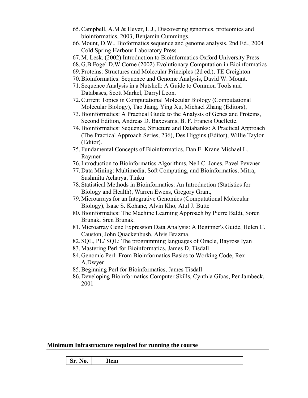- 65.Campbell, A.M & Heyer, L.J., Discovering genomics, proteomics and bioinformatics, 2003, Benjamin Cummings.
- 66.Mount, D.W., Bioformatics sequence and genome analysis, 2nd Ed., 2004 Cold Spring Harbour Laboratory Press.
- 67.M. Lesk. (2002) Introduction to Bioinformatics Oxford University Press
- 68.G.B Fogel D.W Corne (2002) Evolutionary Computation in Bioinformatics
- 69.Proteins: Structures and Molecular Principles (2d ed.), TE Creighton
- 70.Bioinformatics: Sequence and Genome Analysis, David W. Mount.
- 71.Sequence Analysis in a Nutshell: A Guide to Common Tools and Databases, Scott Markel, Darryl Leon.
- 72.Current Topics in Computational Molecular Biology (Computational Molecular Biology), Tao Jiang, Ying Xu, Michael Zhang (Editors),
- 73.Bioinformatics: A Practical Guide to the Analysis of Genes and Proteins, Second Edition, Andreas D. Baxevanis, B. F. Francis Ouellette.
- 74.Bioinformatics: Sequence, Structure and Databanks: A Practical Approach (The Practical Approach Series, 236), Des Higgins (Editor), Willie Taylor (Editor).
- 75.Fundamental Concepts of Bioinformatics, Dan E. Krane Michael L. Raymer
- 76.Introduction to Bioinformatics Algorithms, Neil C. Jones, Pavel Pevzner
- 77.Data Mining: Multimedia, Soft Computing, and Bioinformatics, Mitra, Sushmita Acharya, Tinku
- 78.Statistical Methods in Bioinformatics: An Introduction (Statistics for Biology and Health), Warren Ewens, Gregory Grant,
- 79.Microarrays for an Integrative Genomics (Computational Molecular Biology), Isaac S. Kohane, Alvin Kho, Atul J. Butte
- 80.Bioinformatics: The Machine Learning Approach by Pierre Baldi, Soren Brunak, Sren Brunak.
- 81.Microarray Gene Expression Data Analysis: A Beginner's Guide, Helen C. Causton, John Quackenbush, Alvis Brazma.
- 82.SQL, PL/ SQL: The programming languages of Oracle, Bayross Iyan
- 83.Mastering Perl for Bioinformatics, James D. Tisdall
- 84.Genomic Perl: From Bioinformatics Basics to Working Code, Rex A.Dwyer
- 85.Beginning Perl for Bioinformatics, James Tisdall
- 86.Developing Bioinformatics Computer Skills, Cynthia Gibas, Per Jambeck, 2001

**Minimum Infrastructure required for running the course** 

**Sr. No. Item**